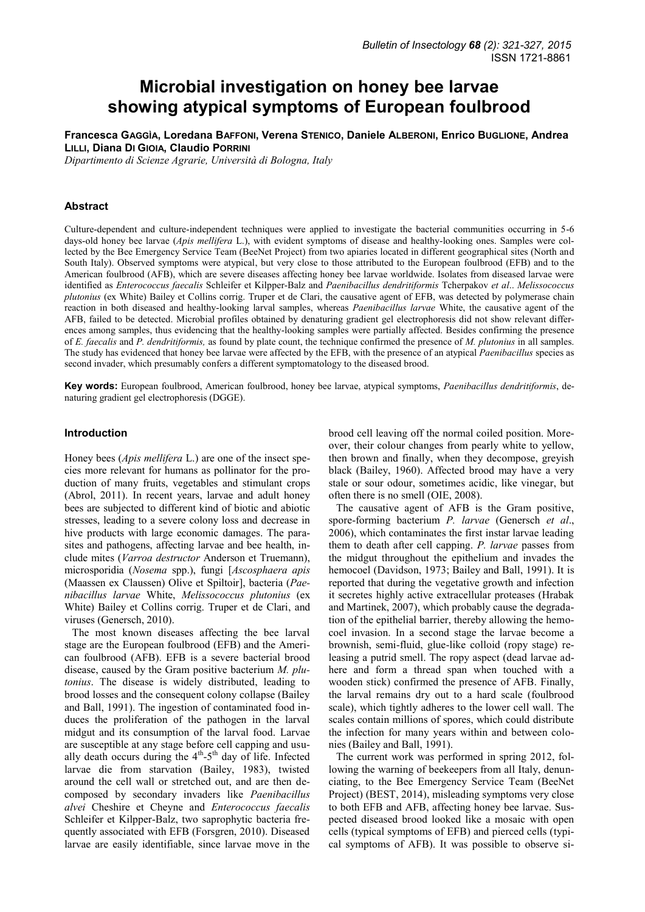# **Microbial investigation on honey bee larvae showing atypical symptoms of European foulbrood**

**Francesca GAGGÌA, Loredana BAFFONI, Verena STENICO, Daniele ALBERONI, Enrico BUGLIONE, Andrea LILLI, Diana DI GIOIA, Claudio PORRINI**

*Dipartimento di Scienze Agrarie, Università di Bologna, Italy* 

#### **Abstract**

Culture-dependent and culture-independent techniques were applied to investigate the bacterial communities occurring in 5-6 days-old honey bee larvae (*Apis mellifera* L.), with evident symptoms of disease and healthy-looking ones. Samples were collected by the Bee Emergency Service Team (BeeNet Project) from two apiaries located in different geographical sites (North and South Italy). Observed symptoms were atypical, but very close to those attributed to the European foulbrood (EFB) and to the American foulbrood (AFB), which are severe diseases affecting honey bee larvae worldwide. Isolates from diseased larvae were identified as *Enterococcus faecalis* Schleifer et Kilpper-Balz and *Paenibacillus dendritiformis* Tcherpakov *et al*.. *Melissococcus plutonius* (ex White) Bailey et Collins corrig. Truper et de Clari, the causative agent of EFB, was detected by polymerase chain reaction in both diseased and healthy-looking larval samples, whereas *Paenibacillus larvae* White, the causative agent of the AFB, failed to be detected. Microbial profiles obtained by denaturing gradient gel electrophoresis did not show relevant differences among samples, thus evidencing that the healthy-looking samples were partially affected. Besides confirming the presence of *E. faecalis* and *P. dendritiformis,* as found by plate count, the technique confirmed the presence of *M. plutonius* in all samples. The study has evidenced that honey bee larvae were affected by the EFB, with the presence of an atypical *Paenibacillus* species as second invader, which presumably confers a different symptomatology to the diseased brood.

**Key words:** European foulbrood, American foulbrood, honey bee larvae, atypical symptoms, *Paenibacillus dendritiformis*, denaturing gradient gel electrophoresis (DGGE).

#### **Introduction**

Honey bees (*Apis mellifera* L.) are one of the insect species more relevant for humans as pollinator for the production of many fruits, vegetables and stimulant crops (Abrol, 2011). In recent years, larvae and adult honey bees are subjected to different kind of biotic and abiotic stresses, leading to a severe colony loss and decrease in hive products with large economic damages. The parasites and pathogens, affecting larvae and bee health, include mites (*Varroa destructor* Anderson et Truemann), microsporidia (*Nosema* spp.), fungi [*Ascosphaera apis*  (Maassen ex Claussen) Olive et Spiltoir], bacteria (*Paenibacillus larvae* White, *Melissococcus plutonius* (ex White) Bailey et Collins corrig. Truper et de Clari, and viruses (Genersch, 2010).

The most known diseases affecting the bee larval stage are the European foulbrood (EFB) and the American foulbrood (AFB). EFB is a severe bacterial brood disease, caused by the Gram positive bacterium *M. plutonius*. The disease is widely distributed, leading to brood losses and the consequent colony collapse (Bailey and Ball, 1991). The ingestion of contaminated food induces the proliferation of the pathogen in the larval midgut and its consumption of the larval food. Larvae are susceptible at any stage before cell capping and usually death occurs during the  $4<sup>th</sup>$ -5<sup>th</sup> day of life. Infected larvae die from starvation (Bailey, 1983), twisted around the cell wall or stretched out, and are then decomposed by secondary invaders like *Paenibacillus alvei* Cheshire et Cheyne and *Enterococcus faecalis*  Schleifer et Kilpper-Balz, two saprophytic bacteria frequently associated with EFB (Forsgren, 2010). Diseased larvae are easily identifiable, since larvae move in the brood cell leaving off the normal coiled position. Moreover, their colour changes from pearly white to yellow, then brown and finally, when they decompose, greyish black (Bailey, 1960). Affected brood may have a very stale or sour odour, sometimes acidic, like vinegar, but often there is no smell (OIE, 2008).

The causative agent of AFB is the Gram positive, spore-forming bacterium *P. larvae* (Genersch *et al*., 2006), which contaminates the first instar larvae leading them to death after cell capping. *P. larvae* passes from the midgut throughout the epithelium and invades the hemocoel (Davidson, 1973; Bailey and Ball, 1991). It is reported that during the vegetative growth and infection it secretes highly active extracellular proteases (Hrabak and Martinek, 2007), which probably cause the degradation of the epithelial barrier, thereby allowing the hemocoel invasion. In a second stage the larvae become a brownish, semi-fluid, glue-like colloid (ropy stage) releasing a putrid smell. The ropy aspect (dead larvae adhere and form a thread span when touched with a wooden stick) confirmed the presence of AFB. Finally, the larval remains dry out to a hard scale (foulbrood scale), which tightly adheres to the lower cell wall. The scales contain millions of spores, which could distribute the infection for many years within and between colonies (Bailey and Ball, 1991).

The current work was performed in spring 2012, following the warning of beekeepers from all Italy, denunciating, to the Bee Emergency Service Team (BeeNet Project) (BEST, 2014), misleading symptoms very close to both EFB and AFB, affecting honey bee larvae. Suspected diseased brood looked like a mosaic with open cells (typical symptoms of EFB) and pierced cells (typical symptoms of AFB). It was possible to observe si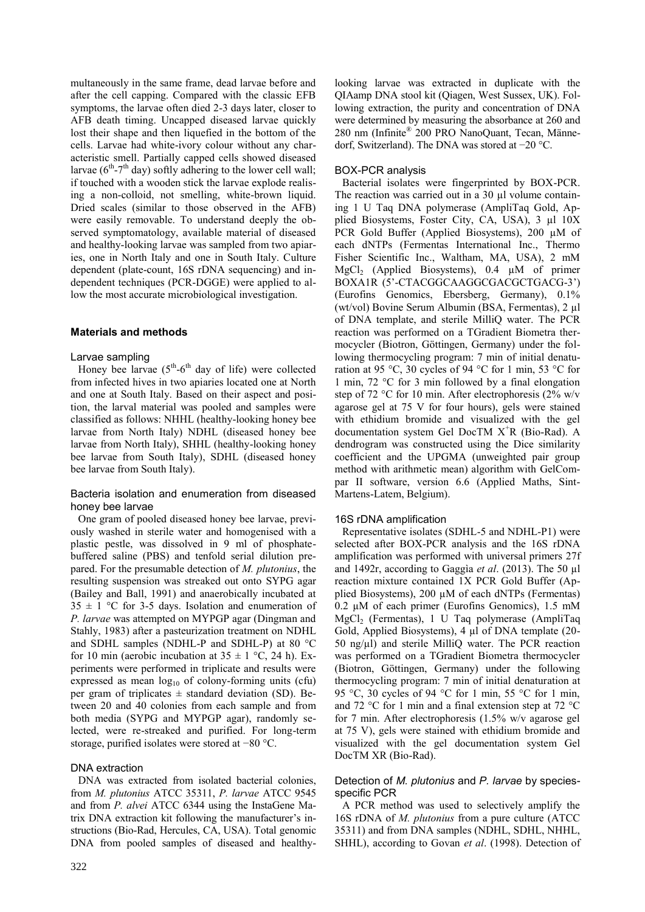multaneously in the same frame, dead larvae before and after the cell capping. Compared with the classic EFB symptoms, the larvae often died 2-3 days later, closer to AFB death timing. Uncapped diseased larvae quickly lost their shape and then liquefied in the bottom of the cells. Larvae had white-ivory colour without any characteristic smell. Partially capped cells showed diseased larvae  $(6<sup>th</sup>-7<sup>th</sup>$  day) softly adhering to the lower cell wall; if touched with a wooden stick the larvae explode realising a non-colloid, not smelling, white-brown liquid. Dried scales (similar to those observed in the AFB) were easily removable. To understand deeply the observed symptomatology, available material of diseased and healthy-looking larvae was sampled from two apiaries, one in North Italy and one in South Italy. Culture dependent (plate-count, 16S rDNA sequencing) and independent techniques (PCR-DGGE) were applied to allow the most accurate microbiological investigation.

# **Materials and methods**

#### Larvae sampling

Honey bee larvae  $(5<sup>th</sup>-6<sup>th</sup>$  day of life) were collected from infected hives in two apiaries located one at North and one at South Italy. Based on their aspect and position, the larval material was pooled and samples were classified as follows: NHHL (healthy-looking honey bee larvae from North Italy) NDHL (diseased honey bee larvae from North Italy), SHHL (healthy-looking honey bee larvae from South Italy), SDHL (diseased honey bee larvae from South Italy).

# Bacteria isolation and enumeration from diseased honey bee larvae

One gram of pooled diseased honey bee larvae, previously washed in sterile water and homogenised with a plastic pestle, was dissolved in 9 ml of phosphatebuffered saline (PBS) and tenfold serial dilution prepared. For the presumable detection of *M. plutonius*, the resulting suspension was streaked out onto SYPG agar (Bailey and Ball, 1991) and anaerobically incubated at  $35 \pm 1$  °C for 3-5 days. Isolation and enumeration of *P. larvae* was attempted on MYPGP agar (Dingman and Stahly, 1983) after a pasteurization treatment on NDHL and SDHL samples (NDHL-P and SDHL-P) at 80 °C for 10 min (aerobic incubation at  $35 \pm 1$  °C, 24 h). Experiments were performed in triplicate and results were expressed as mean  $log_{10}$  of colony-forming units (cfu) per gram of triplicates  $\pm$  standard deviation (SD). Between 20 and 40 colonies from each sample and from both media (SYPG and MYPGP agar), randomly selected, were re-streaked and purified. For long-term storage, purified isolates were stored at −80 °C.

# DNA extraction

DNA was extracted from isolated bacterial colonies, from *M. plutonius* ATCC 35311, *P. larvae* ATCC 9545 and from *P. alvei* ATCC 6344 using the InstaGene Matrix DNA extraction kit following the manufacturer's instructions (Bio-Rad, Hercules, CA, USA). Total genomic DNA from pooled samples of diseased and healthylooking larvae was extracted in duplicate with the QIAamp DNA stool kit (Qiagen, West Sussex, UK). Following extraction, the purity and concentration of DNA were determined by measuring the absorbance at 260 and 280 nm (Infinite® 200 PRO NanoQuant, Tecan, Männedorf, Switzerland). The DNA was stored at −20 °C.

# BOX-PCR analysis

Bacterial isolates were fingerprinted by BOX-PCR. The reaction was carried out in a 30 µl volume containing 1 U Taq DNA polymerase (AmpliTaq Gold, Applied Biosystems, Foster City, CA, USA), 3 µl 10X PCR Gold Buffer (Applied Biosystems), 200  $\mu$ M of each dNTPs (Fermentas International Inc., Thermo Fisher Scientific Inc., Waltham, MA, USA), 2 mM MgCl<sub>2</sub> (Applied Biosystems),  $0.4 \mu M$  of primer BOXA1R (5'-CTACGGCAAGGCGACGCTGACG-3') (Eurofins Genomics, Ebersberg, Germany), 0.1% (wt/vol) Bovine Serum Albumin (BSA, Fermentas), 2 µl of DNA template, and sterile MilliQ water. The PCR reaction was performed on a TGradient Biometra thermocycler (Biotron, Göttingen, Germany) under the following thermocycling program: 7 min of initial denaturation at 95 °C, 30 cycles of 94 °C for 1 min, 53 °C for 1 min, 72 °C for 3 min followed by a final elongation step of 72 °C for 10 min. After electrophoresis (2% w/v agarose gel at 75 V for four hours), gels were stained with ethidium bromide and visualized with the gel documentation system Gel DocTM  $X<sup>+</sup>R$  (Bio-Rad). A dendrogram was constructed using the Dice similarity coefficient and the UPGMA (unweighted pair group method with arithmetic mean) algorithm with GelCompar II software, version 6.6 (Applied Maths, Sint-Martens-Latem, Belgium).

# 16S rDNA amplification

Representative isolates (SDHL-5 and NDHL-P1) were selected after BOX-PCR analysis and the 16S rDNA amplification was performed with universal primers 27f and 1492r, according to Gaggìa *et al*. (2013). The 50 µl reaction mixture contained 1X PCR Gold Buffer (Applied Biosystems), 200 µM of each dNTPs (Fermentas)  $0.2 \mu M$  of each primer (Eurofins Genomics), 1.5 mM MgCl<sub>2</sub> (Fermentas), 1 U Taq polymerase (AmpliTaq Gold, Applied Biosystems), 4 µl of DNA template (20- 50 ng/µl) and sterile MilliQ water. The PCR reaction was performed on a TGradient Biometra thermocycler (Biotron, Göttingen, Germany) under the following thermocycling program: 7 min of initial denaturation at 95 °C, 30 cycles of 94 °C for 1 min, 55 °C for 1 min, and 72 °C for 1 min and a final extension step at 72 °C for 7 min. After electrophoresis (1.5% w/v agarose gel at 75 V), gels were stained with ethidium bromide and visualized with the gel documentation system Gel DocTM XR (Bio-Rad).

# Detection of *M. plutonius* and *P. larvae* by speciesspecific PCR

A PCR method was used to selectively amplify the 16S rDNA of *M. plutonius* from a pure culture (ATCC 35311) and from DNA samples (NDHL, SDHL, NHHL, SHHL), according to Govan *et al*. (1998). Detection of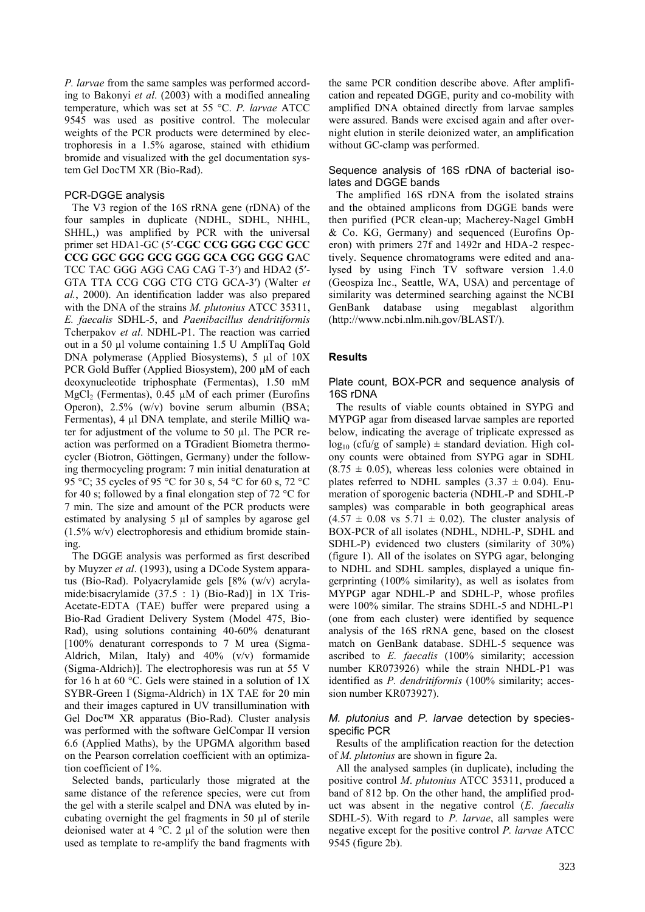*P. larvae* from the same samples was performed according to Bakonyi *et al*. (2003) with a modified annealing temperature, which was set at 55 °C. *P. larvae* ATCC 9545 was used as positive control. The molecular weights of the PCR products were determined by electrophoresis in a 1.5% agarose, stained with ethidium bromide and visualized with the gel documentation system Gel DocTM XR (Bio-Rad).

#### PCR-DGGE analysis

The V3 region of the 16S rRNA gene (rDNA) of the four samples in duplicate (NDHL, SDHL, NHHL, SHHL,) was amplified by PCR with the universal primer set HDA1-GC (5′-**CGC CCG GGG CGC GCC CCG GGC GGG GCG GGG GCA CGG GGG G**AC TCC TAC GGG AGG CAG CAG T-3′) and HDA2 (5′- GTA TTA CCG CGG CTG CTG GCA-3′) (Walter *et al.*, 2000). An identification ladder was also prepared with the DNA of the strains *M. plutonius* ATCC 35311, *E. faecalis* SDHL-5, and *Paenibacillus dendritiformis* Tcherpakov *et al*. NDHL-P1. The reaction was carried out in a 50 µl volume containing 1.5 U AmpliTaq Gold DNA polymerase (Applied Biosystems), 5 µl of 10X PCR Gold Buffer (Applied Biosystem), 200 µM of each deoxynucleotide triphosphate (Fermentas), 1.50 mM MgCl<sub>2</sub> (Fermentas), 0.45  $\mu$ M of each primer (Eurofins Operon), 2.5% (w/v) bovine serum albumin (BSA; Fermentas), 4 µl DNA template, and sterile MilliQ water for adjustment of the volume to 50 µl. The PCR reaction was performed on a TGradient Biometra thermocycler (Biotron, Göttingen, Germany) under the following thermocycling program: 7 min initial denaturation at 95 °C; 35 cycles of 95 °C for 30 s, 54 °C for 60 s, 72 °C for 40 s; followed by a final elongation step of 72  $\degree$ C for 7 min. The size and amount of the PCR products were estimated by analysing 5 µl of samples by agarose gel (1.5% w/v) electrophoresis and ethidium bromide staining.

The DGGE analysis was performed as first described by Muyzer *et al*. (1993), using a DCode System apparatus (Bio-Rad). Polyacrylamide gels [8% (w/v) acrylamide:bisacrylamide (37.5 : 1) (Bio-Rad)] in 1X Tris-Acetate-EDTA (TAE) buffer were prepared using a Bio-Rad Gradient Delivery System (Model 475, Bio-Rad), using solutions containing 40-60% denaturant [100% denaturant corresponds to 7 M urea (Sigma-Aldrich, Milan, Italy) and 40% (v/v) formamide (Sigma-Aldrich)]. The electrophoresis was run at 55 V for 16 h at 60 °C. Gels were stained in a solution of 1X SYBR-Green I (Sigma-Aldrich) in 1X TAE for 20 min and their images captured in UV transillumination with Gel Doc™ XR apparatus (Bio-Rad). Cluster analysis was performed with the software GelCompar II version 6.6 (Applied Maths), by the UPGMA algorithm based on the Pearson correlation coefficient with an optimization coefficient of 1%.

Selected bands, particularly those migrated at the same distance of the reference species, were cut from the gel with a sterile scalpel and DNA was eluted by incubating overnight the gel fragments in 50 µl of sterile deionised water at 4 °C. 2 µl of the solution were then used as template to re-amplify the band fragments with

the same PCR condition describe above. After amplification and repeated DGGE, purity and co-mobility with amplified DNA obtained directly from larvae samples were assured. Bands were excised again and after overnight elution in sterile deionized water, an amplification without GC-clamp was performed.

### Sequence analysis of 16S rDNA of bacterial isolates and DGGE bands

The amplified 16S rDNA from the isolated strains and the obtained amplicons from DGGE bands were then purified (PCR clean-up; Macherey-Nagel GmbH & Co. KG, Germany) and sequenced (Eurofins Operon) with primers 27f and 1492r and HDA-2 respectively. Sequence chromatograms were edited and analysed by using Finch TV software version 1.4.0 (Geospiza Inc., Seattle, WA, USA) and percentage of similarity was determined searching against the NCBI GenBank database using megablast algorithm (http://www.ncbi.nlm.nih.gov/BLAST/).

#### **Results**

#### Plate count, BOX-PCR and sequence analysis of 16S rDNA

The results of viable counts obtained in SYPG and MYPGP agar from diseased larvae samples are reported below, indicating the average of triplicate expressed as  $log_{10}$  (cfu/g of sample)  $\pm$  standard deviation. High colony counts were obtained from SYPG agar in SDHL  $(8.75 \pm 0.05)$ , whereas less colonies were obtained in plates referred to NDHL samples  $(3.37 \pm 0.04)$ . Enumeration of sporogenic bacteria (NDHL-P and SDHL-P samples) was comparable in both geographical areas  $(4.57 \pm 0.08 \text{ vs } 5.71 \pm 0.02)$ . The cluster analysis of BOX-PCR of all isolates (NDHL, NDHL-P, SDHL and SDHL-P) evidenced two clusters (similarity of 30%) (figure 1). All of the isolates on SYPG agar, belonging to NDHL and SDHL samples, displayed a unique fingerprinting (100% similarity), as well as isolates from MYPGP agar NDHL-P and SDHL-P, whose profiles were 100% similar. The strains SDHL-5 and NDHL-P1 (one from each cluster) were identified by sequence analysis of the 16S rRNA gene, based on the closest match on GenBank database. SDHL-5 sequence was ascribed to *E. faecalis* (100% similarity; accession number KR073926) while the strain NHDL-P1 was identified as *P. dendritiformis* (100% similarity; accession number KR073927).

#### *M. plutonius* and *P. larvae* detection by speciesspecific PCR

Results of the amplification reaction for the detection of *M. plutonius* are shown in figure 2a.

All the analysed samples (in duplicate), including the positive control *M*. *plutonius* ATCC 35311, produced a band of 812 bp. On the other hand, the amplified product was absent in the negative control (*E*. *faecalis* SDHL-5). With regard to *P. larvae*, all samples were negative except for the positive control *P. larvae* ATCC 9545 (figure 2b).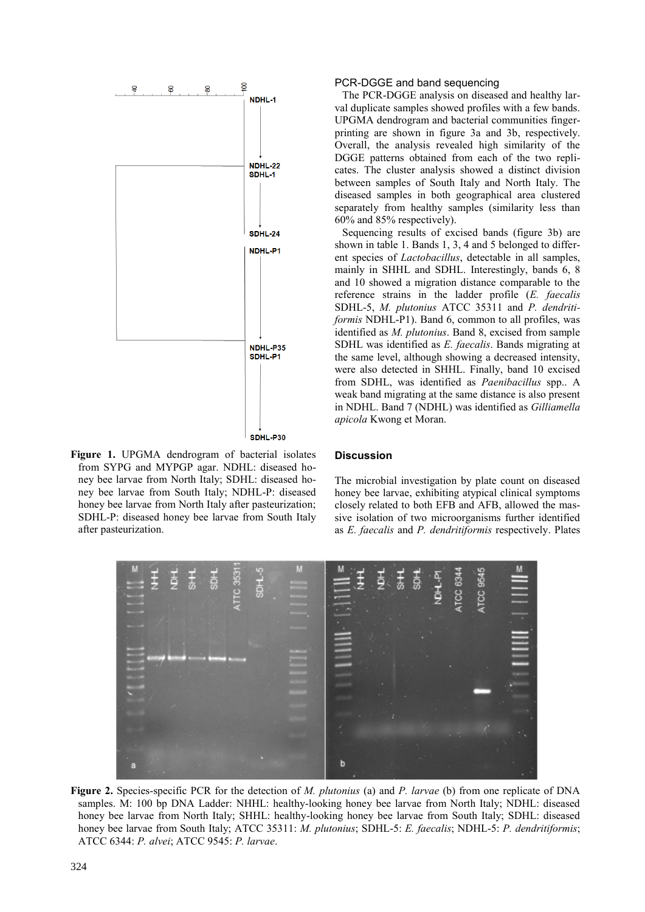

**Figure 1.** UPGMA dendrogram of bacterial isolates from SYPG and MYPGP agar. NDHL: diseased honey bee larvae from North Italy; SDHL: diseased honey bee larvae from South Italy; NDHL-P: diseased honey bee larvae from North Italy after pasteurization; SDHL-P: diseased honey bee larvae from South Italy after pasteurization.

#### PCR-DGGE and band sequencing

The PCR-DGGE analysis on diseased and healthy larval duplicate samples showed profiles with a few bands. UPGMA dendrogram and bacterial communities fingerprinting are shown in figure 3a and 3b, respectively. Overall, the analysis revealed high similarity of the DGGE patterns obtained from each of the two replicates. The cluster analysis showed a distinct division between samples of South Italy and North Italy. The diseased samples in both geographical area clustered separately from healthy samples (similarity less than 60% and 85% respectively).

Sequencing results of excised bands (figure 3b) are shown in table 1. Bands 1, 3, 4 and 5 belonged to different species of *Lactobacillus*, detectable in all samples, mainly in SHHL and SDHL. Interestingly, bands 6, 8 and 10 showed a migration distance comparable to the reference strains in the ladder profile (*E. faecalis*  SDHL-5, *M. plutonius* ATCC 35311 and *P. dendritiformis* NDHL-P1). Band 6, common to all profiles, was identified as *M. plutonius*. Band 8, excised from sample SDHL was identified as *E. faecalis*. Bands migrating at the same level, although showing a decreased intensity, were also detected in SHHL. Finally, band 10 excised from SDHL, was identified as *Paenibacillus* spp.. A weak band migrating at the same distance is also present in NDHL. Band 7 (NDHL) was identified as *Gilliamella apicola* Kwong et Moran.

#### **Discussion**

The microbial investigation by plate count on diseased honey bee larvae, exhibiting atypical clinical symptoms closely related to both EFB and AFB, allowed the massive isolation of two microorganisms further identified as *E. faecalis* and *P. dendritiformis* respectively. Plates



**Figure 2.** Species-specific PCR for the detection of *M. plutonius* (a) and *P. larvae* (b) from one replicate of DNA samples. M: 100 bp DNA Ladder: NHHL: healthy-looking honey bee larvae from North Italy; NDHL: diseased honey bee larvae from North Italy; SHHL: healthy-looking honey bee larvae from South Italy; SDHL: diseased honey bee larvae from South Italy; ATCC 35311: *M. plutonius*; SDHL-5: *E. faecalis*; NDHL-5: *P. dendritiformis*; ATCC 6344: *P. alvei*; ATCC 9545: *P. larvae*.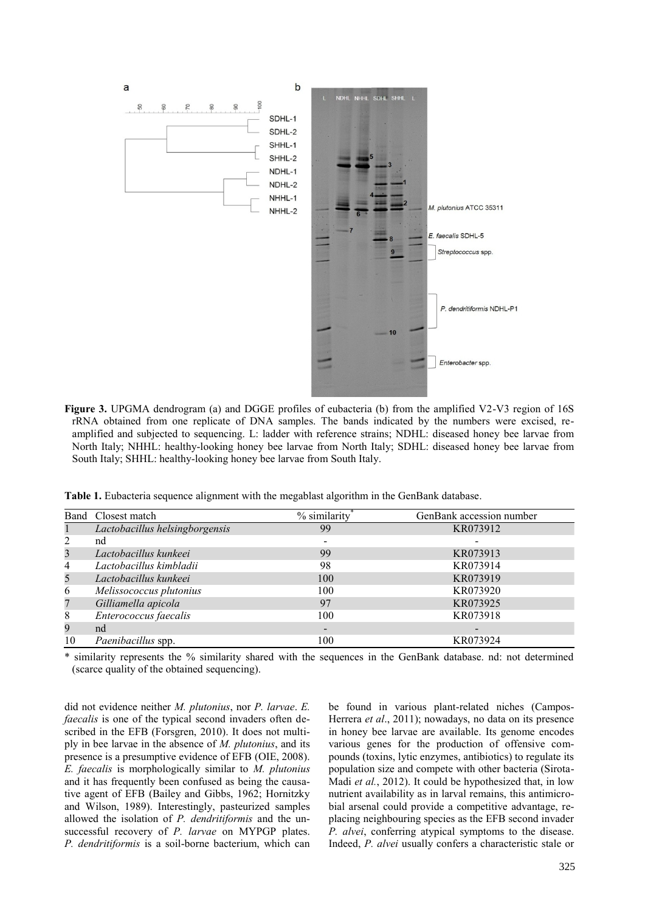

Figure 3. UPGMA dendrogram (a) and DGGE profiles of eubacteria (b) from the amplified V2-V3 region of 16S rRNA obtained from one replicate of DNA samples. The bands indicated by the numbers were excised, reamplified and subjected to sequencing. L: ladder with reference strains; NDHL: diseased honey bee larvae from North Italy; NHHL: healthy-looking honey bee larvae from North Italy; SDHL: diseased honey bee larvae from South Italy; SHHL: healthy-looking honey bee larvae from South Italy.

**Table 1.** Eubacteria sequence alignment with the megablast algorithm in the GenBank database.

|                | Band Closest match             | % similarity             | GenBank accession number |
|----------------|--------------------------------|--------------------------|--------------------------|
|                | Lactobacillus helsingborgensis | 99                       | KR073912                 |
| 2              | nd                             | $\,$                     | $\qquad \qquad$          |
| 3              | Lactobacillus kunkeei          | 99                       | KR073913                 |
| $\overline{4}$ | Lactobacillus kimbladii        | 98                       | KR073914                 |
| 5              | Lactobacillus kunkeei          | 100                      | KR073919                 |
| 6              | Melissococcus plutonius        | 100                      | KR073920                 |
| 7              | Gilliamella apicola            | 97                       | KR073925                 |
| 8              | Enterococcus faecalis          | 100                      | KR073918                 |
| 9              | nd                             | $\overline{\phantom{a}}$ | $\qquad \qquad$          |
| 10             | Paenibacillus spp.             | 100                      | KR073924                 |

\* similarity represents the % similarity shared with the sequences in the GenBank database. nd: not determined (scarce quality of the obtained sequencing).

did not evidence neither *M. plutonius*, nor *P. larvae*. *E. faecalis* is one of the typical second invaders often described in the EFB (Forsgren, 2010). It does not multiply in bee larvae in the absence of *M. plutonius*, and its presence is a presumptive evidence of EFB (OIE, 2008). *E. faecalis* is morphologically similar to *M. plutonius* and it has frequently been confused as being the causative agent of EFB (Bailey and Gibbs, 1962; Hornitzky and Wilson, 1989). Interestingly, pasteurized samples allowed the isolation of *P. dendritiformis* and the unsuccessful recovery of *P. larvae* on MYPGP plates. *P. dendritiformis* is a soil-borne bacterium, which can be found in various plant-related niches (Campos-Herrera *et al*., 2011); nowadays, no data on its presence in honey bee larvae are available. Its genome encodes various genes for the production of offensive compounds (toxins, lytic enzymes, antibiotics) to regulate its population size and compete with other bacteria (Sirota-Madi *et al.*, 2012). It could be hypothesized that, in low nutrient availability as in larval remains, this antimicrobial arsenal could provide a competitive advantage, replacing neighbouring species as the EFB second invader *P. alvei*, conferring atypical symptoms to the disease. Indeed, *P. alvei* usually confers a characteristic stale or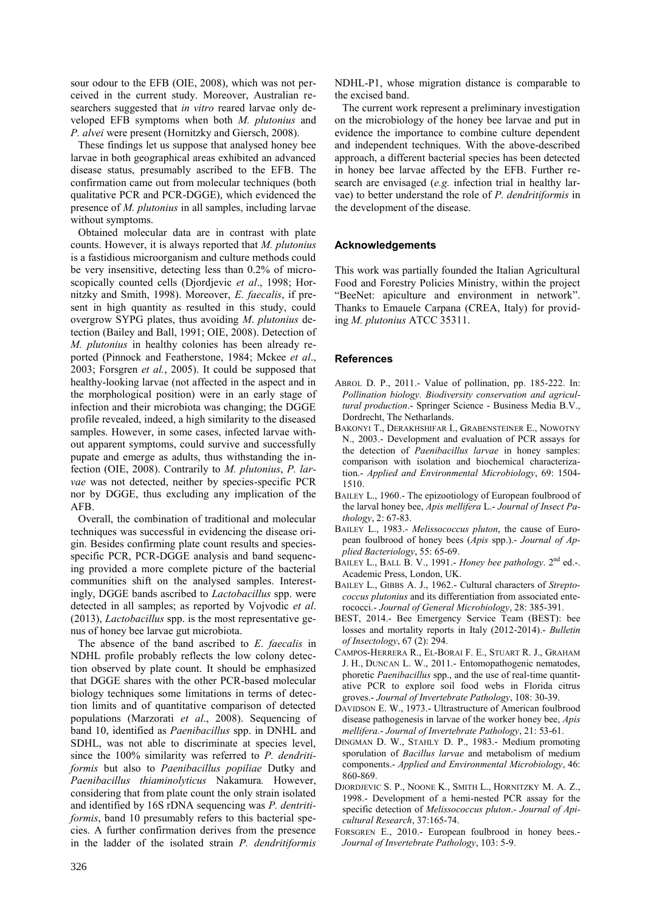sour odour to the EFB (OIE, 2008), which was not perceived in the current study. Moreover, Australian researchers suggested that *in vitro* reared larvae only developed EFB symptoms when both *M. plutonius* and *P. alvei* were present (Hornitzky and Giersch, 2008).

These findings let us suppose that analysed honey bee larvae in both geographical areas exhibited an advanced disease status, presumably ascribed to the EFB. The confirmation came out from molecular techniques (both qualitative PCR and PCR-DGGE), which evidenced the presence of *M. plutonius* in all samples, including larvae without symptoms.

Obtained molecular data are in contrast with plate counts. However, it is always reported that *M. plutonius* is a fastidious microorganism and culture methods could be very insensitive, detecting less than 0.2% of microscopically counted cells (Djordjevic *et al*., 1998; Hornitzky and Smith, 1998). Moreover, *E. faecalis*, if present in high quantity as resulted in this study, could overgrow SYPG plates, thus avoiding *M*. *plutonius* detection (Bailey and Ball, 1991; OIE, 2008). Detection of *M. plutonius* in healthy colonies has been already reported (Pinnock and Featherstone, 1984; Mckee *et al*., 2003; Forsgren *et al.*, 2005). It could be supposed that healthy-looking larvae (not affected in the aspect and in the morphological position) were in an early stage of infection and their microbiota was changing; the DGGE profile revealed, indeed, a high similarity to the diseased samples. However, in some cases, infected larvae without apparent symptoms, could survive and successfully pupate and emerge as adults, thus withstanding the infection (OIE, 2008). Contrarily to *M. plutonius*, *P. larvae* was not detected, neither by species-specific PCR nor by DGGE, thus excluding any implication of the AFB.

Overall, the combination of traditional and molecular techniques was successful in evidencing the disease origin. Besides confirming plate count results and speciesspecific PCR, PCR-DGGE analysis and band sequencing provided a more complete picture of the bacterial communities shift on the analysed samples. Interestingly, DGGE bands ascribed to *Lactobacillus* spp. were detected in all samples; as reported by Vojvodic *et al*. (2013), *Lactobacillus* spp. is the most representative genus of honey bee larvae gut microbiota.

The absence of the band ascribed to *E*. *faecalis* in NDHL profile probably reflects the low colony detection observed by plate count. It should be emphasized that DGGE shares with the other PCR-based molecular biology techniques some limitations in terms of detection limits and of quantitative comparison of detected populations (Marzorati *et al*., 2008). Sequencing of band 10, identified as *Paenibacillus* spp. in DNHL and SDHL, was not able to discriminate at species level, since the 100% similarity was referred to *P. dendritiformis* but also to *Paenibacillus popiliae* Dutky and *Paenibacillus thiaminolyticus* Nakamura*.* However, considering that from plate count the only strain isolated and identified by 16S rDNA sequencing was *P. dentritiformis*, band 10 presumably refers to this bacterial species. A further confirmation derives from the presence in the ladder of the isolated strain *P. dendritiformis*

NDHL-P1, whose migration distance is comparable to the excised band.

The current work represent a preliminary investigation on the microbiology of the honey bee larvae and put in evidence the importance to combine culture dependent and independent techniques. With the above-described approach, a different bacterial species has been detected in honey bee larvae affected by the EFB. Further research are envisaged (*e.g.* infection trial in healthy larvae) to better understand the role of *P. dendritiformis* in the development of the disease.

# **Acknowledgements**

This work was partially founded the Italian Agricultural Food and Forestry Policies Ministry, within the project "BeeNet: apiculture and environment in network". Thanks to Emauele Carpana (CREA, Italy) for providing *M. plutonius* ATCC 35311.

# **References**

- ABROL D. P., 2011.- Value of pollination, pp. 185-222. In: *Pollination biology. Biodiversity conservation and agricultural production*.- Springer Science - Business Media B.V., Dordrecht, The Netharlands.
- BAKONYI T., DERAKHSHIFAR I., GRABENSTEINER E., NOWOTNY N., 2003.- Development and evaluation of PCR assays for the detection of *Paenibacillus larvae* in honey samples: comparison with isolation and biochemical characterization.- *Applied and Environmental Microbiology*, 69: 1504- 1510.
- BAILEY L., 1960.- The epizootiology of European foulbrood of the larval honey bee, *Apis mellifera* L.- *Journal of Insect Pathology*, 2: 67-83.
- BAILEY L., 1983.- *Melissococcus pluton*, the cause of European foulbrood of honey bees (*Apis* spp.).- *Journal of Applied Bacteriology*, 55: 65-69.
- BAILEY L., BALL B. V., 1991.- *Honey bee pathology*. 2nd ed.-. Academic Press, London, UK.
- BAILEY L., GIBBS A. J., 1962.- Cultural characters of *Streptococcus plutonius* and its differentiation from associated enterococci.- *Journal of General Microbiology*, 28: 385-391.
- BEST, 2014.- Bee Emergency Service Team (BEST): bee losses and mortality reports in Italy (2012-2014).- *Bulletin of Insectology*, 67 (2): 294.
- CAMPOS-HERRERA R., EL-BORAI F. E., STUART R. J., GRAHAM J. H., DUNCAN L. W., 2011.- Entomopathogenic nematodes, phoretic *Paenibacillus* spp., and the use of real-time quantitative PCR to explore soil food webs in Florida citrus groves.- *Journal of Invertebrate Pathology*, 108: 30-39.
- DAVIDSON E. W., 1973.- Ultrastructure of American foulbrood disease pathogenesis in larvae of the worker honey bee, *Apis mellifera*.- *Journal of Invertebrate Pathology*, 21: 53-61.
- DINGMAN D. W., STAHLY D. P., 1983.- Medium promoting sporulation of *Bacillus larvae* and metabolism of medium components.- *Applied and Environmental Microbiology*, 46: 860-869.
- DJORDJEVIC S. P., NOONE K., SMITH L., HORNITZKY M. A. Z., 1998.- Development of a hemi-nested PCR assay for the specific detection of *Melissococcus pluton*.- *Journal of Apicultural Research*, 37:165-74.
- FORSGREN E., 2010.- European foulbrood in honey bees.- *Journal of Invertebrate Pathology*, 103: 5-9.